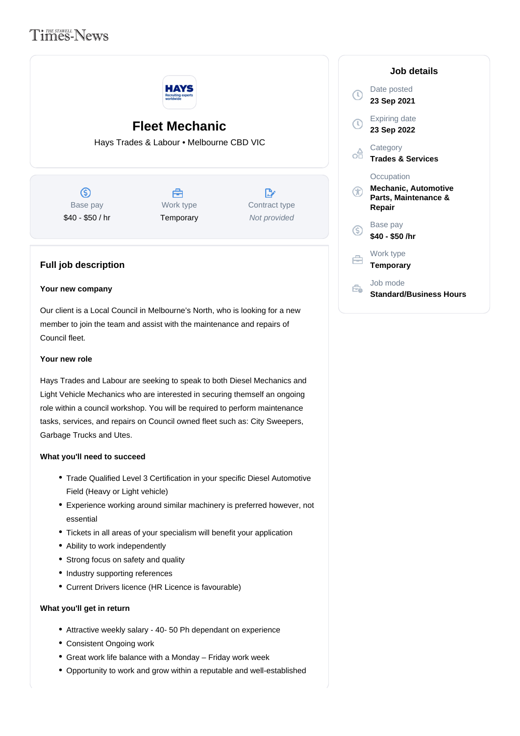# **Times-News**



# **Fleet Mechanic**

Hays Trades & Labour • Melbourne CBD VIC

 $\circ$ Base pay \$40 - \$50 / hr

# A Work type **Temporary**

 $\mathbb{R}^n$ Contract type Not provided

# **Full job description**

## **Your new company**

Our client is a Local Council in Melbourne's North, who is looking for a new member to join the team and assist with the maintenance and repairs of Council fleet.

# **Your new role**

Hays Trades and Labour are seeking to speak to both Diesel Mechanics and Light Vehicle Mechanics who are interested in securing themself an ongoing role within a council workshop. You will be required to perform maintenance tasks, services, and repairs on Council owned fleet such as: City Sweepers, Garbage Trucks and Utes.

## **What you'll need to succeed**

- Trade Qualified Level 3 Certification in your specific Diesel Automotive Field (Heavy or Light vehicle)
- Experience working around similar machinery is preferred however, not essential
- Tickets in all areas of your specialism will benefit your application
- Ability to work independently
- Strong focus on safety and quality
- Industry supporting references
- Current Drivers licence (HR Licence is favourable)

### **What you'll get in return**

- Attractive weekly salary 40- 50 Ph dependant on experience
- Consistent Ongoing work
- Great work life balance with a Monday Friday work week
- Opportunity to work and grow within a reputable and well-established

| Job details                                                                 |
|-----------------------------------------------------------------------------|
| Date posted<br>23 Sep 2021                                                  |
| Expiring date<br>23 Sep 2022                                                |
| Category<br><b>Trades &amp; Services</b>                                    |
| Occupation<br><b>Mechanic, Automotive</b><br>Parts, Maintenance &<br>Repair |
| Base pay<br>\$40 - \$50 /hr                                                 |
| Work type<br>Temporary                                                      |
| Job mode<br>Standard/Business Hours                                         |

 $\sqrt{ }$ 

F